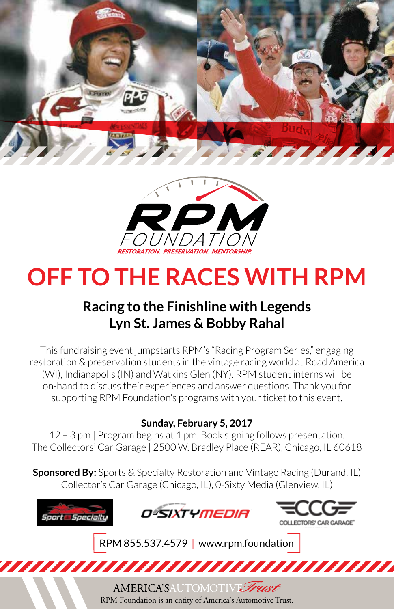



# **OFF TO THE RACES WITH RPM**

## **Racing to the Finishline with Legends Lyn St. James & Bobby Rahal**

This fundraising event jumpstarts RPM's "Racing Program Series," engaging restoration & preservation students in the vintage racing world at Road America (WI), Indianapolis (IN) and Watkins Glen (NY). RPM student interns will be on-hand to discuss their experiences and answer questions. Thank you for supporting RPM Foundation's programs with your ticket to this event.

### **Sunday, February 5, 2017**

12 – 3 pm | Program begins at 1 pm. Book signing follows presentation. The Collectors' Car Garage | 2500 W. Bradley Place (REAR), Chicago, IL 60618

**Sponsored By:** Sports & Specialty Restoration and Vintage Racing (Durand, IL) Collector's Car Garage (Chicago, IL), 0-Sixty Media (Glenview, IL)



RPM Foundation is an entity of America's Automotive Trust.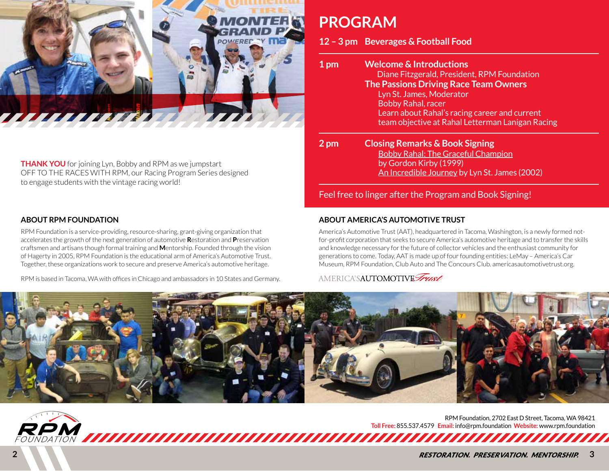

**THANK YOU** for joining Lyn, Bobby and RPM as we jumpstart OFF TO THE RACES WITH RPM, our Racing Program Series designed to engage students with the vintage racing world!

#### **ABOUT RPM FOUNDATION**

RPM Foundation is a service-providing, resource-sharing, grant-giving organization that accelerates the growth of the next generation of automotive **R**estoration and **P**reservation craftsmen and artisans though formal training and **M**entorship. Founded through the vision of Hagerty in 2005, RPM Foundation is the educational arm of America's Automotive Trust. Together, these organizations work to secure and preserve America's automotive heritage.

RPM is based in Tacoma, WA with offices in Chicago and ambassadors in 10 States and Germany.

## **PROGRAM**

**12 – 3 pm Beverages & Football Food**

| 1 pm | <b>Welcome &amp; Introductions</b><br>Diane Fitzgerald, President, RPM Foundation<br><b>The Passions Driving Race Team Owners</b><br>Lyn St. James, Moderator<br><b>Bobby Rahal, racer</b><br>Learn about Rahal's racing career and current<br>team objective at Rahal Letterman Lanigan Racing |
|------|-------------------------------------------------------------------------------------------------------------------------------------------------------------------------------------------------------------------------------------------------------------------------------------------------|
| 2 pm | <b>Closing Remarks &amp; Book Signing</b><br><b>Bobby Rahal: The Graceful Champion</b><br>by Gordon Kirby (1999)<br>An Incredible Journey by Lyn St. James (2002)                                                                                                                               |
|      | Feel free to linger after the Program and Book Signing!                                                                                                                                                                                                                                         |

### **ABOUT AMERICA'S AUTOMOTIVE TRUST**

America's Automotive Trust (AAT), headquartered in Tacoma, Washington, is a newly formed notfor-profit corporation that seeks to secure America's automotive heritage and to transfer the skills and knowledge necessary for the future of collector vehicles and the enthusiast community for generations to come. Today, AAT is made up of four founding entities: LeMay – America's Car Museum, RPM Foundation, Club Auto and The Concours Club. americasautomotivetrust.org.

### AMERICA'SAUTOMOTIVE Trust



RPM Foundation, 2702 East D Street, Tacoma, WA 98421 **Toll Free:** 855.537.4579 **Email:** info@rpm.foundation **Website:** www.rpm.foundation